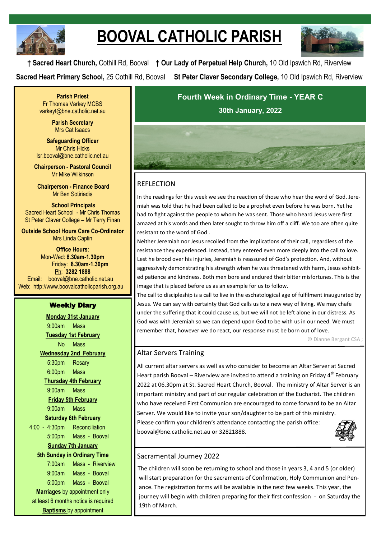

# **BOOVAL CATHOLIC PARISH**



**† Sacred Heart Church,** Cothill Rd, Booval **† Our Lady of Perpetual Help Church,** 10 Old Ipswich Rd, Riverview **Sacred Heart Primary School,** 25 Cothill Rd, Booval **St Peter Claver Secondary College,** 10 Old Ipswich Rd, Riverview

**Parish Priest** Fr Thomas Varkey MCBS varkeyt@bne.catholic.net.au

> **Parish Secretary** Mrs Cat Isaacs

**Safeguarding Officer** Mr Chris Hicks [lsr.booval@bne.catholic.net.au](mailto:lsr.booval@bne.catholi.net.au)

**Chairperson - Pastoral Council** Mr Mike Wilkinson

**Chairperson - Finance Board** Mr Ben Sotiriadis

**School Principals** Sacred Heart School - Mr Chris Thomas St Peter Claver College – Mr Terry Finan

**Outside School Hours Care Co-Ordinator** Mrs Linda Caplin

**Office Hours**: Mon-Wed: **8.30am-1.30pm** Friday: **8.30am-1.30pm** Ph: **3282 1888**  Email: booval@bne.catholic.net.au Web: http://www.boovalcatholicparish.org.au

### Weekly Diary

**Monday 31st January** 9:00am Mass **Tuesday 1st February** No Mass **Wednesday 2nd February** 5:30pm Rosary 6:00pm Mass **Thursday 4th February** 9:00am Mass **Friday 5th February** 9:00am Mass **Saturday 6th February** 4:00 - 4:30pm Reconciliation 5:00pm Mass - Booval **Sunday 7th January 5th Sunday in Ordinary Time**  7:00am Mass - Riverview 9:00am Mass - Booval 5:00pm Mass - Booval **Marriages** by appointment only at least 6 months notice is required **Baptisms** by appointment

**Fourth Week in Ordinary Time - YEAR C 30th January, 2022**



## **REFLECTION**

In the readings for this week we see the reaction of those who hear the word of God. Jeremiah was told that he had been called to be a prophet even before he was born. Yet he had to fight against the people to whom he was sent. Those who heard Jesus were first amazed at his words and then later sought to throw him off a cliff. We too are often quite resistant to the word of God .

Neither Jeremiah nor Jesus recoiled from the implications of their call, regardless of the resistance they experienced. Instead, they entered even more deeply into the call to love. Lest he brood over his injuries, Jeremiah is reassured of God's protection. And, without aggressively demonstrating his strength when he was threatened with harm, Jesus exhibited patience and kindness. Both men bore and endured their bitter misfortunes. This is the image that is placed before us as an example for us to follow.

The call to discipleship is a call to live in the eschatological age of fulfilment inaugurated by Jesus. We can say with certainty that God calls us to a new way of living. We may chafe under the suffering that it could cause us, but we will not be left alone in our distress. As God was with Jeremiah so we can depend upon God to be with us in our need. We must remember that, however we do react, our response must be born out of love.

© Dianne Bergant CSA ;

## Altar Servers Training

All current altar servers as well as who consider to become an Altar Server at Sacred Heart parish Booval – Riverview are invited to attend a training on Friday  $4^{th}$  February 2022 at 06.30pm at St. Sacred Heart Church, Booval. The ministry of Altar Server is an important ministry and part of our regular celebration of the Eucharist. The children who have received First Communion are encouraged to come forward to be an Altar Server. We would like to invite your son/daughter to be part of this ministry. Please confirm your children's attendance contacting the parish office: booval@bne.catholic.net.au or 32821888.



## Sacramental Journey 2022

The children will soon be returning to school and those in years 3, 4 and 5 (or older) will start preparation for the sacraments of Confirmation, Holy Communion and Penance. The registration forms will be available in the next few weeks. This year, the journey will begin with children preparing for their first confession - on Saturday the 19th of March.